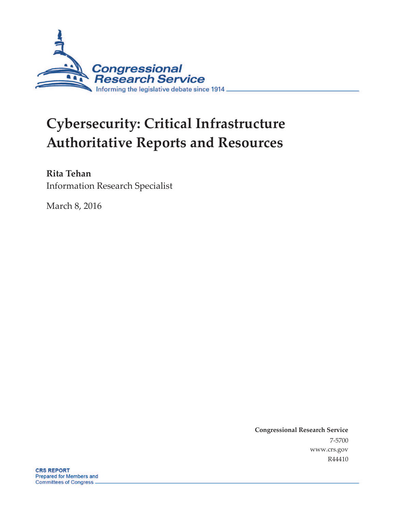

# **Cybersecurity: Critical Infrastructure Authoritative Reports and Resources**

**Rita Tehan**

Information Research Specialist

March 8, 2016

**Congressional Research Service**  7-5700 www.crs.gov R44410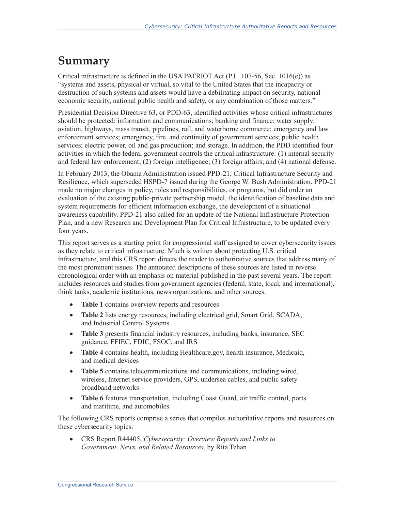### **Summary**

Critical infrastructure is defined in the USA PATRIOT Act (P.L. 107-56, Sec. 1016(e)) as "systems and assets, physical or virtual, so vital to the United States that the incapacity or destruction of such systems and assets would have a debilitating impact on security, national economic security, national public health and safety, or any combination of those matters."

Presidential Decision Directive 63, or PDD-63, identified activities whose critical infrastructures should be protected: information and communications; banking and finance; water supply; aviation, highways, mass transit, pipelines, rail, and waterborne commerce; emergency and law enforcement services; emergency, fire, and continuity of government services; public health services; electric power, oil and gas production; and storage. In addition, the PDD identified four activities in which the federal government controls the critical infrastructure: (1) internal security and federal law enforcement; (2) foreign intelligence; (3) foreign affairs; and (4) national defense.

In February 2013, the Obama Administration issued PPD-21, Critical Infrastructure Security and Resilience, which superseded HSPD-7 issued during the George W. Bush Administration. PPD-21 made no major changes in policy, roles and responsibilities, or programs, but did order an evaluation of the existing public-private partnership model, the identification of baseline data and system requirements for efficient information exchange, the development of a situational awareness capability. PPD-21 also called for an update of the National Infrastructure Protection Plan, and a new Research and Development Plan for Critical Infrastructure, to be updated every four years.

This report serves as a starting point for congressional staff assigned to cover cybersecurity issues as they relate to critical infrastructure. Much is written about protecting U.S. critical infrastructure, and this CRS report directs the reader to authoritative sources that address many of the most prominent issues. The annotated descriptions of these sources are listed in reverse chronological order with an emphasis on material published in the past several years. The report includes resources and studies from government agencies (federal, state, local, and international), think tanks, academic institutions, news organizations, and other sources.

- **Table 1** contains overview reports and resources
- **Table 2** lists energy resources, including electrical grid, Smart Grid, SCADA, and Industrial Control Systems
- · **Table 3** presents financial industry resources, including banks, insurance, SEC guidance, FFIEC, FDIC, FSOC, and IRS
- · **Table 4** contains health, including Healthcare.gov, health insurance, Medicaid, and medical devices
- · **Table 5** contains telecommunications and communications, including wired, wireless, Internet service providers, GPS, undersea cables, and public safety broadband networks
- · **Table 6** features transportation, including Coast Guard, air traffic control, ports and maritime, and automobiles

The following CRS reports comprise a series that compiles authoritative reports and resources on these cybersecurity topics:

· CRS Report R44405, *Cybersecurity: Overview Reports and Links to Government, News, and Related Resources*, by Rita Tehan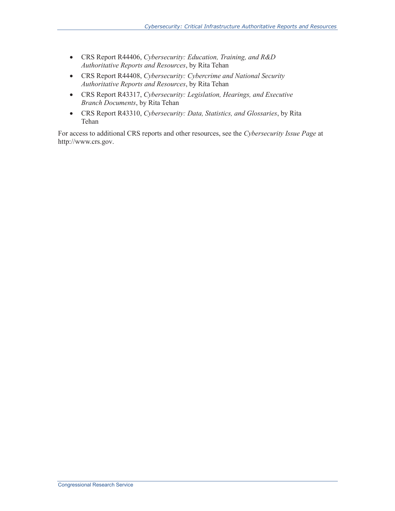- · CRS Report R44406, *Cybersecurity: Education, Training, and R&D Authoritative Reports and Resources*, by Rita Tehan
- · CRS Report R44408, *Cybersecurity: Cybercrime and National Security Authoritative Reports and Resources*, by Rita Tehan
- · CRS Report R43317, *Cybersecurity: Legislation, Hearings, and Executive Branch Documents*, by Rita Tehan
- · CRS Report R43310, *Cybersecurity: Data, Statistics, and Glossaries*, by Rita Tehan

For access to additional CRS reports and other resources, see the *Cybersecurity Issue Page* at http://www.crs.gov.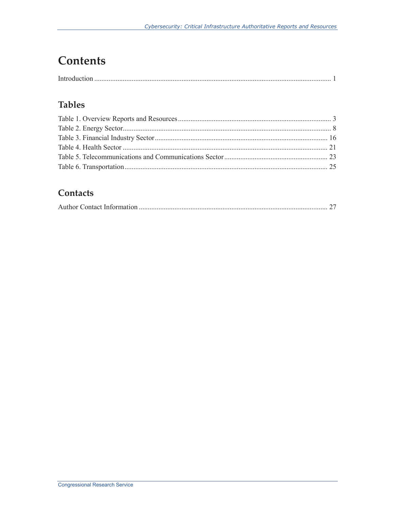# **Contents**

#### **Tables**

#### Contacts

|--|--|--|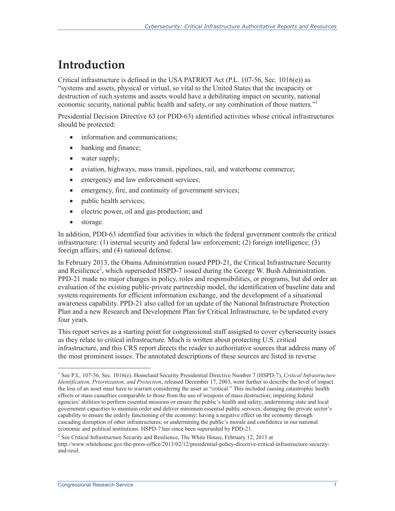## **Introduction**

Critical infrastructure is defined in the USA PATRIOT Act (P.L. 107-56, Sec. 1016(e)) as "systems and assets, physical or virtual, so vital to the United States that the incapacity or destruction of such systems and assets would have a debilitating impact on security, national economic security, national public health and safety, or any combination of those matters."

Presidential Decision Directive 63 (or PDD-63) identified activities whose critical infrastructures should be protected:

- information and communications;
- banking and finance;
- water supply;
- aviation, highways, mass transit, pipelines, rail, and waterborne commerce;
- emergency and law enforcement services;
- emergency, fire, and continuity of government services;
- public health services;
- · electric power, oil and gas production; and
- · storage.

 $\overline{a}$ 

In addition, PDD-63 identified four activities in which the federal government controls the critical infrastructure: (1) internal security and federal law enforcement; (2) foreign intelligence; (3) foreign affairs; and (4) national defense.

In February 2013, the Obama Administration issued PPD-21, the Critical Infrastructure Security and Resilience<sup>2</sup>, which superseded HSPD-7 issued during the George W. Bush Administration. PPD-21 made no major changes in policy, roles and responsibilities, or programs, but did order an evaluation of the existing public-private partnership model, the identification of baseline data and system requirements for efficient information exchange, and the development of a situational awareness capability. PPD-21 also called for an update of the National Infrastructure Protection Plan and a new Research and Development Plan for Critical Infrastructure, to be updated every four years.

This report serves as a starting point for congressional staff assigned to cover cybersecurity issues as they relate to critical infrastructure. Much is written about protecting U.S. critical infrastructure, and this CRS report directs the reader to authoritative sources that address many of the most prominent issues. The annotated descriptions of these sources are listed in reverse

<sup>&</sup>lt;sup>1</sup> See P.L. 107-56, Sec. 1016(e). Homeland Security Presidential Directive Number 7 (HSPD-7), *Critical Infrastructure Identification, Prioritization, and Protection*, released December 17, 2003, went further to describe the level of impact the loss of an asset must have to warrant considering the asset as "critical." This included causing catastrophic health effects or mass casualties comparable to those from the use of weapons of mass destruction; impairing federal agencies' abilities to perform essential missions or ensure the public's health and safety; undermining state and local government capacities to maintain order and deliver minimum essential public services; damaging the private sector's capability to ensure the orderly functioning of the economy; having a negative effect on the economy through cascading disruption of other infrastructures; or undermining the public's morale and confidence in our national economic and political institutions. HSPD-7 has since been superseded by PDD-21.

 $2^{2}$  See Critical Infrastructure Security and Resilience, The White House, February 12, 2013 at http://www.whitehouse.gov/the-press-office/2013/02/12/presidential-policy-directive-critical-infrastructure-securityand-resil.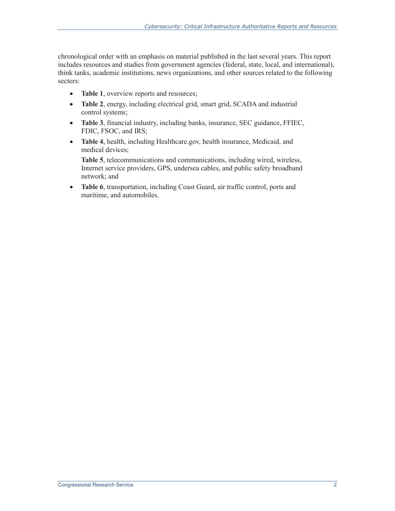chronological order with an emphasis on material published in the last several years. This report includes resources and studies from government agencies (federal, state, local, and international), think tanks, academic institutions, news organizations, and other sources related to the following sectors:

- **Table 1**, overview reports and resources;
- · **Table 2**, energy, including electrical grid, smart grid, SCADA and industrial control systems;
- · **Table 3**, financial industry, including banks, insurance, SEC guidance, FFIEC, FDIC, FSOC, and IRS;
- · **Table 4**, health, including Healthcare.gov, health insurance, Medicaid, and medical devices;

**Table 5**, telecommunications and communications, including wired, wireless, Internet service providers, GPS, undersea cables, and public safety broadband network; and

· **Table 6**, transportation, including Coast Guard, air traffic control, ports and maritime, and automobiles.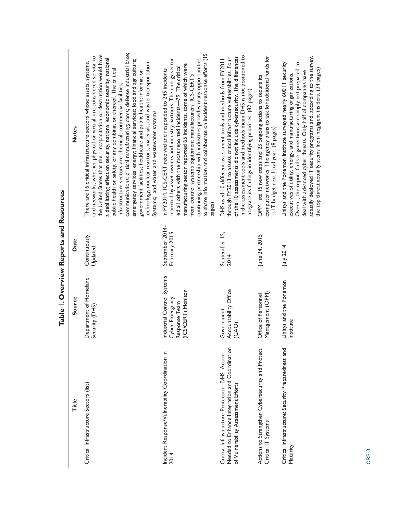| Systems; and water and wastewater systems.<br><b>Notes</b><br>its IT budget next fiscal year. (8 pages)<br>pages)<br>September 2014-<br>February 2015<br>September 15,<br>June 24, 2015<br>Continuously<br>Date<br>July 2014<br>Updated<br>2014<br>Industrial Control Systems<br>Department of Homeland<br>Unisys and the Ponemon<br>Accountability Office<br>(ICS/CERT) Monitor<br>Management (OPM)<br>Office of Personnel<br>Source<br>Cyber Emergency<br>Response Team<br>Security (DHS)<br>Government<br>Institute<br>(GAO)<br>Needed to Enhance Integration and Coordination<br>Actions to Strengthen Cybersecurity and Protect<br>Critical Infrastructure: Security Preparedness and<br>Incident Response/Vulnerability Coordination in<br>Critical Infrastructure Protection: DHS Action<br>of Vulnerability Assessment Efforts<br>Critical Infrastructure Sectors (list)<br>Title<br>Critical IT Systems<br>Maturity<br>2014 | Table I. Overview Reports and Resources |                                                                                                                                                                                                                                                                                                                                                                                                                                                                                                                                                                                                                                                                                                                                   |
|--------------------------------------------------------------------------------------------------------------------------------------------------------------------------------------------------------------------------------------------------------------------------------------------------------------------------------------------------------------------------------------------------------------------------------------------------------------------------------------------------------------------------------------------------------------------------------------------------------------------------------------------------------------------------------------------------------------------------------------------------------------------------------------------------------------------------------------------------------------------------------------------------------------------------------------|-----------------------------------------|-----------------------------------------------------------------------------------------------------------------------------------------------------------------------------------------------------------------------------------------------------------------------------------------------------------------------------------------------------------------------------------------------------------------------------------------------------------------------------------------------------------------------------------------------------------------------------------------------------------------------------------------------------------------------------------------------------------------------------------|
|                                                                                                                                                                                                                                                                                                                                                                                                                                                                                                                                                                                                                                                                                                                                                                                                                                                                                                                                      |                                         |                                                                                                                                                                                                                                                                                                                                                                                                                                                                                                                                                                                                                                                                                                                                   |
|                                                                                                                                                                                                                                                                                                                                                                                                                                                                                                                                                                                                                                                                                                                                                                                                                                                                                                                                      |                                         | communications; critical manufacturing; dams; defense industrial base;<br>the United States that their incapacitation or destruction would have<br>and networks, whether physical or virtual, are considered so vital to<br>a debilitating effect on security, national economic security, national<br>emergency services; energy; financial services; food and agriculture;<br>There are 16 critical infrastructure sectors whose assets, systems,<br>technology; nuclear reactors, materials, and waste; transportation<br>public health or safety, or any combination thereof. The critical<br>government facilities; healthcare and public health; information<br>infrastructure sectors are chemical; commercial facilities; |
|                                                                                                                                                                                                                                                                                                                                                                                                                                                                                                                                                                                                                                                                                                                                                                                                                                                                                                                                      |                                         | to share information and collaborate on incident response efforts (15<br>reported by asset owners and industry partners. The energy sector<br>continuing partnership with industries provides many opportunities<br>manufacturing sector reported 65 incidents, some of which were<br>ed all others with the most reported incidents-79. The critical<br>In FY2014, ICS-CERT received and responded to 245 incidents<br>from control systems equipment manufacturers. ICS-CERT's                                                                                                                                                                                                                                                  |
|                                                                                                                                                                                                                                                                                                                                                                                                                                                                                                                                                                                                                                                                                                                                                                                                                                                                                                                                      |                                         | in the assessment tools and methods mean DHS is not positioned to<br>of the 10 assessments did not include cybersecurity. The differences<br>through FY2013 to assess critical infrastructure vulnerabilities. Four<br>DHS used 10 different assessment tools and methods from FY2011<br>integrate its findings in identifying priorities. (82 pages)                                                                                                                                                                                                                                                                                                                                                                             |
|                                                                                                                                                                                                                                                                                                                                                                                                                                                                                                                                                                                                                                                                                                                                                                                                                                                                                                                                      |                                         | computer networks. The agency plans to ask for additional funds for<br>OPM lists 15 new steps and 23 ongoing actions to secure its                                                                                                                                                                                                                                                                                                                                                                                                                                                                                                                                                                                                |
|                                                                                                                                                                                                                                                                                                                                                                                                                                                                                                                                                                                                                                                                                                                                                                                                                                                                                                                                      |                                         | actually deployed IT security programs and, according to the survey,<br>Overall, the report finds organizations are simply not prepared to<br>Unisys and the Ponemon Institute surveyed nearly 600 IT security<br>the top threat actually stems from negligent insiders. (34 pages)<br>deal with advanced cyber threats. Only half of companies have<br>executives of utility, energy, and manufacturing organizations.                                                                                                                                                                                                                                                                                                           |

| ı |
|---|
|   |
|   |
|   |
|   |
|   |
|   |
|   |
|   |
|   |
|   |
|   |
|   |
|   |
|   |
|   |
|   |
|   |
|   |
|   |
|   |
|   |
|   |
|   |
|   |
| 1 |
|   |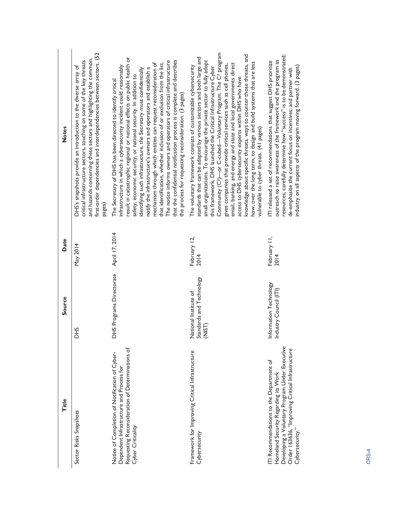| <b>Notes</b> | first-order dependencies and interdependencies between sectors. (52<br>and hazards concerning these sectors and highlighting the common,<br>critical infrastructure sectors, touching on some of the key threats<br>DHS's snapshots provide an introduction to the diverse array of<br>pages) | result in catastrophic regional or national effects on public health or<br>that the confidential notification process is complete and describes<br>The notice informs owners and operators of critical infrastructure<br>that identification, whether inclusion of or exclusion from the list.<br>mechanism through which entities can request reconsideration of<br>infrastructure in which a cybersecurity incident could reasonably<br>notify the infrastructure's owners and operators and establish a<br>identifying such infrastructure, the Secretary must confidentially<br>safety, economic security, or national security. In addition to<br>The Secretary of DHS has been directed to identify critical<br>the process for requesting reconsideration. (3 pages) | Community (C3)-or C-cubed-Voluntary Program. The C3 program<br>knowledge about specific threats, ways to counter those threats, and<br>standards that can be adapted by various sectors and both large and<br>small organizations. To encourage the private sector to fully adopt<br>how, over the long term, to design and build systems that are less<br>email, banking, and energy and state and local governments direct<br>gives companies that provide critical services such as cell phones,<br>The voluntary framework consists of customizable cybersecurity<br>this framework, DHS launched the Critical Infrastructure Cyber<br>access to DHS cybersecurity experts within DHS who have<br>vulnerable to cyber threats. (41 pages) | resources; carefully determine how "success" is to be demonstrated;<br>outreach to raise awareness of the framework and the program as<br>ITI released a set of recommendations that suggest DHS prioritize<br>industry on all aspects of the program moving forward. (3 pages)<br>de-emphasize the current focus on incentives; and partner with |
|--------------|-----------------------------------------------------------------------------------------------------------------------------------------------------------------------------------------------------------------------------------------------------------------------------------------------|-----------------------------------------------------------------------------------------------------------------------------------------------------------------------------------------------------------------------------------------------------------------------------------------------------------------------------------------------------------------------------------------------------------------------------------------------------------------------------------------------------------------------------------------------------------------------------------------------------------------------------------------------------------------------------------------------------------------------------------------------------------------------------|-----------------------------------------------------------------------------------------------------------------------------------------------------------------------------------------------------------------------------------------------------------------------------------------------------------------------------------------------------------------------------------------------------------------------------------------------------------------------------------------------------------------------------------------------------------------------------------------------------------------------------------------------------------------------------------------------------------------------------------------------|---------------------------------------------------------------------------------------------------------------------------------------------------------------------------------------------------------------------------------------------------------------------------------------------------------------------------------------------------|
| Date         | May 2014                                                                                                                                                                                                                                                                                      | April 17, 2014                                                                                                                                                                                                                                                                                                                                                                                                                                                                                                                                                                                                                                                                                                                                                              | February 12,<br>2014                                                                                                                                                                                                                                                                                                                                                                                                                                                                                                                                                                                                                                                                                                                          | February II,<br>2014                                                                                                                                                                                                                                                                                                                              |
| Source       | £<br>ō                                                                                                                                                                                                                                                                                        | DHS Programs Directorate                                                                                                                                                                                                                                                                                                                                                                                                                                                                                                                                                                                                                                                                                                                                                    | National Institute of<br>Standards and Technology<br>(NIST)                                                                                                                                                                                                                                                                                                                                                                                                                                                                                                                                                                                                                                                                                   | Information Technology<br>Industry Council (ITI)                                                                                                                                                                                                                                                                                                  |
| <b>Title</b> | Sector Risks Snapshots                                                                                                                                                                                                                                                                        | Requesting Reconsideration of Determinations of<br>Notice of Completion of Notification of Cyber-<br>Dependent Infrastructure and Process for<br>Cyber Criticality                                                                                                                                                                                                                                                                                                                                                                                                                                                                                                                                                                                                          | Framework for Improving Critical Infrastructure<br>Cybersecurity                                                                                                                                                                                                                                                                                                                                                                                                                                                                                                                                                                                                                                                                              | Developing a Voluntary Program Under Executive<br>Order 163636, "Improving Critical Infrastructure<br>ITI Recommendations to the Department of<br>Homeland Security Regarding its Work<br>Cybersecurity.                                                                                                                                          |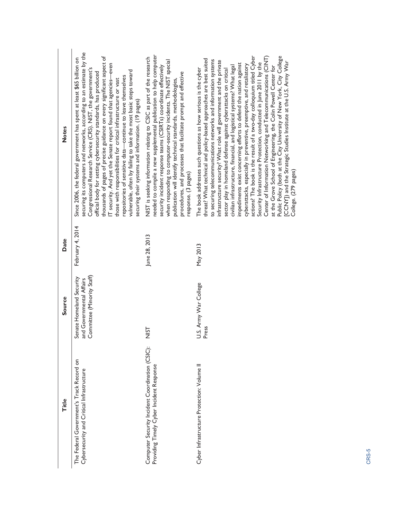| <b>Notes</b> | securing its computers and networks, according to an estimate by the<br>thousands of pages of precise guidance on every significant aspect of<br>Since 2006, the federal government has spent at least \$65 billion on<br>IT security. And yet the Senate report found that agencies-even<br>Congressional Research Service (CRS). NIST, the government's<br>vulnerable, often by failing to take the most basic steps toward<br>official body for setting cybersecurity standards, has produced<br>repositories of sensitive data-continue to leave themselves<br>those with responsibilities for critical infrastructure or vast<br>securing their systems and information. (19 pages) | needed to compile a new supplemental publication to help computer<br>NIST is seeking information relating to CSIC as part of the research<br>when responding to computer-security incidents. The NIST special<br>security incident response teams (CSIRTs) coordinate effectively<br>procedures, and processes that facilitate prompt and effective<br>publication will identify technical standards, methodologies,<br>response. (3 pages) | Public Policy (both at the City University of New York, City College<br>actions? The book is the result of a two-day colloquium titled Cyber<br>Center of Information Networking and Telecommunications (CINT)<br>threat? What technical and policy-based approaches are best suited<br>to securing telecommunications networks and information systems<br>infrastructure security? What role will government and the private<br>[CCNY]) and the Strategic Studies Institute at the U.S. Army War<br>Security Infrastructure Protection, conducted in June 2011 by the<br>impediments exist concerning efforts to defend the nation against<br>cyberattacks, especially in preventive, preemptive, and retaliatory<br>civilian infrastructure, financial, and logistical systems? What legal<br>at the Grove School of Engineering, the Colin Powell Center for<br>The book addresses such questions as how serious is the cyber<br>sector play in homeland defense against cyberattacks on critical<br>College. (279 pages) |
|--------------|------------------------------------------------------------------------------------------------------------------------------------------------------------------------------------------------------------------------------------------------------------------------------------------------------------------------------------------------------------------------------------------------------------------------------------------------------------------------------------------------------------------------------------------------------------------------------------------------------------------------------------------------------------------------------------------|---------------------------------------------------------------------------------------------------------------------------------------------------------------------------------------------------------------------------------------------------------------------------------------------------------------------------------------------------------------------------------------------------------------------------------------------|------------------------------------------------------------------------------------------------------------------------------------------------------------------------------------------------------------------------------------------------------------------------------------------------------------------------------------------------------------------------------------------------------------------------------------------------------------------------------------------------------------------------------------------------------------------------------------------------------------------------------------------------------------------------------------------------------------------------------------------------------------------------------------------------------------------------------------------------------------------------------------------------------------------------------------------------------------------------------------------------------------------------------|
| Date         | February 4, 2014                                                                                                                                                                                                                                                                                                                                                                                                                                                                                                                                                                                                                                                                         | June 28, 2013                                                                                                                                                                                                                                                                                                                                                                                                                               | May 2013                                                                                                                                                                                                                                                                                                                                                                                                                                                                                                                                                                                                                                                                                                                                                                                                                                                                                                                                                                                                                     |
| Source       | Committee (Minority Staff)<br>Senate Homeland Security<br>and Governmental Affairs                                                                                                                                                                                                                                                                                                                                                                                                                                                                                                                                                                                                       | <b>NIST</b>                                                                                                                                                                                                                                                                                                                                                                                                                                 | U.S. Army War College<br>Press                                                                                                                                                                                                                                                                                                                                                                                                                                                                                                                                                                                                                                                                                                                                                                                                                                                                                                                                                                                               |
| Title        | The Federal Government's Track Record on<br>Cybersecurity and Critical Infrastructure                                                                                                                                                                                                                                                                                                                                                                                                                                                                                                                                                                                                    | Computer Security Incident Coordination (CSIC):<br>Providing Timely Cyber Incident Response                                                                                                                                                                                                                                                                                                                                                 | Cyber Infrastructure Protection: Volume II                                                                                                                                                                                                                                                                                                                                                                                                                                                                                                                                                                                                                                                                                                                                                                                                                                                                                                                                                                                   |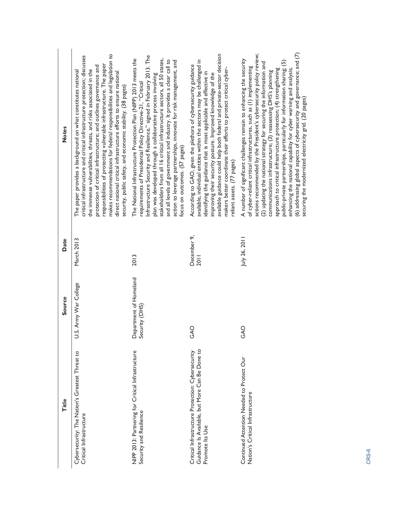| <b>Title</b>                                                                                                           | Source                                   | Date                | <b>Notes</b>                                                                                                                                                                                                                                                                                                                                                                                                                                                                                                                                                                                                                                                                                                      |
|------------------------------------------------------------------------------------------------------------------------|------------------------------------------|---------------------|-------------------------------------------------------------------------------------------------------------------------------------------------------------------------------------------------------------------------------------------------------------------------------------------------------------------------------------------------------------------------------------------------------------------------------------------------------------------------------------------------------------------------------------------------------------------------------------------------------------------------------------------------------------------------------------------------------------------|
| Cybersecurity: The Nation's Greatest Threat to<br>Critical Infrastructure                                              | .S. Army War College<br>⊃                | March 2013          | makes recommendations for federal responsibilities and legislation to<br>critical infrastructure and critical infrastructure protection; discusses<br>responsibilities of protecting vulnerable infrastructure. The paper<br>protection of critical infrastructure; and outlines governance and<br>the immense vulnerabilities, threats, and risks associated in the<br>The paper provides a background on what constitutes national<br>direct national critical infrastructure efforts to ensure national<br>security, public safety, and economic stability. (38 pages)                                                                                                                                         |
| NIPP 2013: Partnering for Critical Infrastructure<br>Security and Resilience                                           | Department of Homeland<br>Security (DHS) | 2013                | Infrastructure Security and Resilience," signed in February 2013. The<br>The National Infrastructure Protection Plan (NIPP) 2013 meets the<br>stakeholders from all 16 critical infrastructure sectors, all 50 states,<br>action to leverage partnerships, innovate for risk management, and<br>and all levels of government and industry. It provides a clear call to<br>plan was developed through a collaborative process involving<br>requirements of Presidential Policy Directive-21, "Critical<br>focus on outcomes. (57 pages)                                                                                                                                                                            |
| Guidance Is Available, but More Can Be Done to<br>Critical Infrastructure Protection: Cybersecurity<br>Promote Its Use | GAO                                      | December 9,<br>2011 | available guidance could help both federal and private-sector decision<br>available, individual entities within the sectors may be challenged in<br>According to GAO, given the plethora of cybersecurity guidance<br>makers better coordinate their efforts to protect critical cyber-<br>identifying the guidance that is most applicable and effective in<br>improving their security posture. Improved knowledge of the<br>reliant assets. (77 pages)                                                                                                                                                                                                                                                         |
| Continued Attention Needed to Protect Our<br>Nation's Critical Infrastructure                                          | GAO                                      | July 26, 2011       | (6) addressing global aspects of cybersecurity and governance; and $(7)$<br>actions recommended by the President's cybersecurity policy review;<br>A number of significant challenges remain to enhancing the security<br>public-private partnerships, particularly for information sharing; (5)<br>(2) updating the national strategy for securing the information and<br>of cyber-reliant critical infrastructures, such as (1) implementing<br>approach to critical infrastructure protection; (4) strengthening<br>enhancing the national capability for cyber warning and analysis;<br>communications infrastructure; (3) reassessing DHS's planning<br>securing the modernized electricity grid. (20 pages) |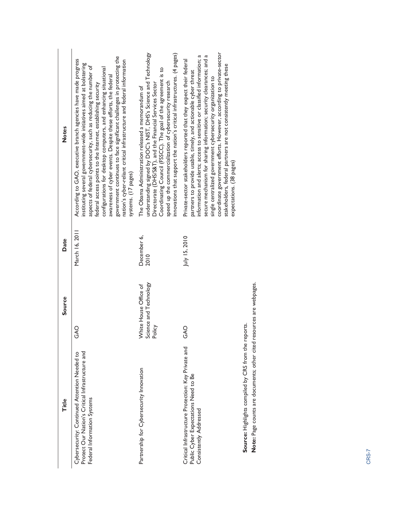| Title                                                                                                                           | Source                                                    | Date                | <b>Notes</b>                                                                                                                                                                                                                                                                                                                                                                                                                                                                                                                                                                            |
|---------------------------------------------------------------------------------------------------------------------------------|-----------------------------------------------------------|---------------------|-----------------------------------------------------------------------------------------------------------------------------------------------------------------------------------------------------------------------------------------------------------------------------------------------------------------------------------------------------------------------------------------------------------------------------------------------------------------------------------------------------------------------------------------------------------------------------------------|
| Protect Our Nation's Critical Infrastructure and<br>Cybersecurity: Continued Attention Needed to<br>Federal Information Systems | O<br>AO                                                   | March 16, 2011      | government continues to face significant challenges in protecting the<br>According to GAO, executive branch agencies have made progress<br>nation's cyber-reliant critical infrastructure and federal information<br>instituting several government-wide initiatives aimed at bolstering<br>aspects of federal cybersecurity, such as reducing the number of<br>configurations for desktop computers, and enhancing situational<br>awareness of cyber events. Despite these efforts, the federal<br>federal access points to the Internet, establishing security<br>systems. (17 pages) |
| Partnership for Cybersecurity Innovation                                                                                        | Science and Technology<br>Policy<br>White House Office of | December 6,<br>2010 | understanding signed by DOC's NIST, DHS's Science and Technology<br>innovations that support the nation's critical infrastructures. (4 pages)<br>Coordinating Council (FSSCC). The goal of the agreement is to<br>speed up the commercialization of cybersecurity research<br>Directorate (DHS/S&T), and the Financial Services Sector<br>The Obama Administration released a memorandum of                                                                                                                                                                                             |
| Critical Infrastructure Protection: Key Private and<br>Public Cyber Expectations Need to Be<br>Consistently Addressed           | GAO                                                       | $July$ 15, 2010     | coordinate government efforts. However, according to private-sector<br>information and alerts; access to sensitive or classified information; a<br>secure mechanism for sharing information; security clearances; and a<br>Private-sector stakeholders reported that they expect their federal<br>stakeholders, federal partners are not consistently meeting these<br>partners to provide usable, timely, and actionable cyber threat<br>single centralized government cybersecurity organization to<br>expectations. (38 pages)                                                       |
| Source: Highlights compiled by CRS from the reports.                                                                            |                                                           |                     |                                                                                                                                                                                                                                                                                                                                                                                                                                                                                                                                                                                         |

Note: Page counts are documents; other cited resources are webpages. **Note:** Page counts are documents; other cited resources are webpages.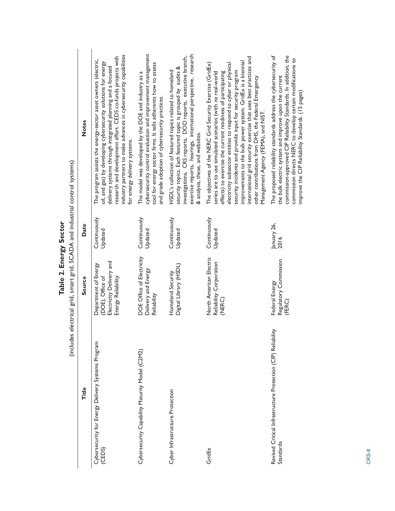| electrical grid, smart grid, SCADA and industrial control systems) | <b>Notes</b><br>Date | industry partners to make advances in cybersecurity capabilities<br>research and development effort. CEDS co-funds projects with<br>The program assists the energy-sector asset owners (electric,<br>oil, and gas) by developing cybersecurity solutions for energy<br>delivery systems through integrated planning and a focused<br>for energy delivery systems.<br>Continuously<br>Updated | cybersecurity control evaluation and improvement management<br>tool for energy sector firms. It tells adherents how to assess<br>The model was developed by the DOE and industry as a<br>and grade adoption of cybersecurity practices.<br>Continuously<br>Updated | exercise reports, hearings, international perspective, research<br>investigations, CRS reports, DOD reports, executive branch,<br>security topics. Each featured topic is grouped by audits &<br>HSDL's collection of featured topics related to homeland<br>& analysis, these, and websites.<br>Continuously<br>Updated | international grid security exercise that uses best practices and<br>improvements to the bulk power system. GridEx is a biennial<br>The objectives of the NERC Grid Security Exercise (GridEx)<br>electricity subsector entities to respond to cyber or physical<br>security incidents and provide input for security program<br>effects) to exercise the current readiness of participating<br>series are to use simulated scenarios (with no real-world<br>other contributions from DHS, the Federal Emergency<br>Management Agency (FEMA), and NIST.<br>Continuously<br>Updated | commission-approved CIP Reliability Standards. In addition, the<br>The proposed reliability standards address the cybersecurity of<br>commission directs NERC to develop certain modifications to<br>the bulk electric system and improve upon the current<br>improve the CIP Reliability Standards. (15 pages)<br>January 26,<br>2016 |
|--------------------------------------------------------------------|----------------------|----------------------------------------------------------------------------------------------------------------------------------------------------------------------------------------------------------------------------------------------------------------------------------------------------------------------------------------------------------------------------------------------|--------------------------------------------------------------------------------------------------------------------------------------------------------------------------------------------------------------------------------------------------------------------|--------------------------------------------------------------------------------------------------------------------------------------------------------------------------------------------------------------------------------------------------------------------------------------------------------------------------|------------------------------------------------------------------------------------------------------------------------------------------------------------------------------------------------------------------------------------------------------------------------------------------------------------------------------------------------------------------------------------------------------------------------------------------------------------------------------------------------------------------------------------------------------------------------------------|----------------------------------------------------------------------------------------------------------------------------------------------------------------------------------------------------------------------------------------------------------------------------------------------------------------------------------------|
|                                                                    | Source               | Electricity Delivery and<br>Department of Energy<br>Energy Reliability<br>(DOE), Office of                                                                                                                                                                                                                                                                                                   | DOE Office of Electricity<br>Delivery and Energy<br>Reliability                                                                                                                                                                                                    | Digital Library (HSDL)<br>Homeland Security                                                                                                                                                                                                                                                                              | North American Electric<br>Reliability Corporation<br>(NERC)                                                                                                                                                                                                                                                                                                                                                                                                                                                                                                                       | Regulatory Commission<br>Federal Energy<br>(FERC)                                                                                                                                                                                                                                                                                      |
| (includes                                                          | Title                | Cybersecurity for Energy Delivery Systems Program<br>(CEDS)                                                                                                                                                                                                                                                                                                                                  | Cybersecurity Capability Maturity Model (C2M2)                                                                                                                                                                                                                     | Cyber Infrastructure Protection                                                                                                                                                                                                                                                                                          | GridEx                                                                                                                                                                                                                                                                                                                                                                                                                                                                                                                                                                             | Revised Critical Infrastructure Protection (CIP) Reliability<br>Standards                                                                                                                                                                                                                                                              |

Table 2. Energy Sector **Table 2. Energy Sector**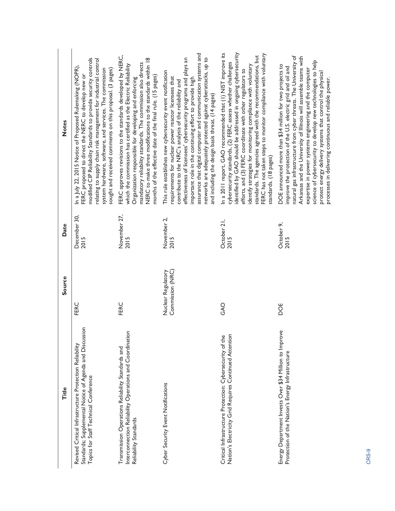| Title                                                                                                                                                      | Source                                 | Date                 | <b>Notes</b>                                                                                                                                                                                                                                                                                                                                                                                                                                                                                                       |
|------------------------------------------------------------------------------------------------------------------------------------------------------------|----------------------------------------|----------------------|--------------------------------------------------------------------------------------------------------------------------------------------------------------------------------------------------------------------------------------------------------------------------------------------------------------------------------------------------------------------------------------------------------------------------------------------------------------------------------------------------------------------|
| Standards; Supplemental Notice of Agenda and Discussion<br>Revised Critical Infrastructure Protection Reliability<br>Topics for Staff Technical Conference | FERC                                   | December 30,<br>2015 | modified CIP Reliability Standards to provide security controls<br>relating to supply chain risk management for industrial control<br>In a July 22, 2015 Notice of Proposed Rulemaking (NOPR),<br>system hardware, software, and services. The commission<br>sought and received comments on this proposal. (3 pages)<br>FERC proposed to direct the NERC to develop new or                                                                                                                                        |
| Interconnection Reliability Operations and Coordination<br>Transmission Operations Reliability Standards and<br>Reliability Standards                      | FERC                                   | November 27,<br>2015 | FERC approves revisions to the standards developed by NERC,<br>NERC to make three modifications to the standards within 18<br>mandatory reliability standards. The commission also directs<br>which the commission has certified as the Electric Reliability<br>months of the effective date of the final rule. (15 pages)<br>Organization responsible for developing and enforcing                                                                                                                                |
| Cyber Security Event Notifications                                                                                                                         | Commission (NRC)<br>Nuclear Regulatory | November 2,<br>2015  | assurance that digital computer and communication systems and<br>networks are adequately protected against cyberattacks, up to<br>effectiveness of licensees' cybersecurity programs and plays an<br>This rule establishes new cybersecurity event notification<br>requirements for nuclear power reactor licensees that<br>important role in the continuing effort to provide high<br>contribute to the NRC's analysis of the reliability and<br>and including the design basis threat. (14 pages)                |
| Nation's Electricity Grid Requires Continued Attention<br>Critical Infrastructure Protection: Cybersecurity of the                                         | GAO                                    | October 21,<br>2015  | identified by GAO should be addressed in ongoing cybersecurity<br>In a 2011 report, GAO recommended that (1) NIST improve its<br>FERC has not taken steps to monitor compliance with voluntary<br>standards. The agencies agreed with the recommendations, but<br>cybersecurity standards, (2) FERC assess whether challenges<br>identify strategies for monitoring compliance with voluntary<br>efforts, and (3) FERC coordinate with other regulators to<br>standards. (18 pages)                                |
| Energy Department Invests Over \$34 Million to Improve<br>Protection of the Nation's Energy Infrastructure                                                 | DOE                                    | October 9,<br>2015   | natural gas infrastructure from cyber threats. The University of<br>Ankansas and the University of Illinois will assemble teams with<br>science of cybersecurity to develop new technologies to help<br>DOE announced more than \$34 million for two projects to<br>improve the protection of the U.S. electric grid and oil and<br>expertise in power systems engineering and the computer<br>protect energy delivery systems that control the physical<br>processes in delivering continuous and reliable power. |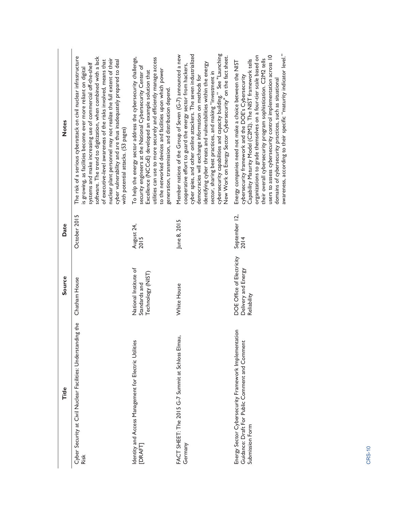| Title                                                                                                                     | Source                                                          | Date                  | <b>Notes</b>                                                                                                                                                                                                                                                                                                                                                                                                                                                                                                               |
|---------------------------------------------------------------------------------------------------------------------------|-----------------------------------------------------------------|-----------------------|----------------------------------------------------------------------------------------------------------------------------------------------------------------------------------------------------------------------------------------------------------------------------------------------------------------------------------------------------------------------------------------------------------------------------------------------------------------------------------------------------------------------------|
| the<br>Cyber Security at Civil Nuclear Facilities: Understanding<br><b>Risk</b>                                           | Chatham House                                                   | October 2015          | The risk of a serious cyberattack on civil nuclear infrastructure<br>software. The trend to digitization, when combined with a lack<br>nuclear plant personnel may not realize the full extent of their<br>of executive-level awareness of the risks involved, means that<br>cyber vulnerability and are thus inadequately prepared to deal<br>systems and make increasing use of commercial off-the-shelf<br>is growing, as facilities become ever more reliant on digital<br>with potential attacks. (53 pages)          |
| Identity and Access Management for Electric Utilities<br>[DRAFT]                                                          | National Institute of<br>Technology (NIST)<br>Standards and     | August 24,<br>2015    | To help the energy sector address the cybersecurity challenge,<br>utilities can use to more securely and efficiently manage access<br>security engineers at the National Cybersecurity Center of<br>to the networked devices and facilities upon which power<br>Excellence (NCCoE) developed an example solution that<br>generation, transmission, and distribution depend.                                                                                                                                                |
| FACT SHEET: The 2015 G-7 Summit at Schloss Elmau,<br>Germany                                                              | White House                                                     | June 8, 2015          | cybersecurity capabilities and capacity building." See "Launching<br>cyber spies, and other online attackers. The seven industrialized<br>Member nations of the Group of Seven (G-7) announced a new<br>New Work on Energy Sector Cybersecurity" on the fact sheet.<br>identifying cyber threats and vulnerabilities within the energy<br>cooperative effort to guard the energy sector from hackers,<br>sector, sharing best practices, and making "investment in<br>democracies will exchange information on methods for |
| Energy Sector Cybersecurity Framework Implementation<br>Guidance: Draft For Public Comment and Comment<br>Submission Form | DOE Office of Electricity<br>Delivery and Energy<br>Reliability | September 12,<br>2014 | awareness, according to their specific "maturity indicator level."<br>users to assess cybersecurity control implementation across 10<br>organizations to grade themselves on a four-tier scale based on<br>their overall cybersecurity program sophistication. C2M2 tells<br>Capability Maturity Model (C2M2). The NIST framework tells<br>Energy companies need not make a choice between the NIST<br>cybersecurity framework and the DOE's Cybersecurity<br>domains of cybersecurity practices, such as situational      |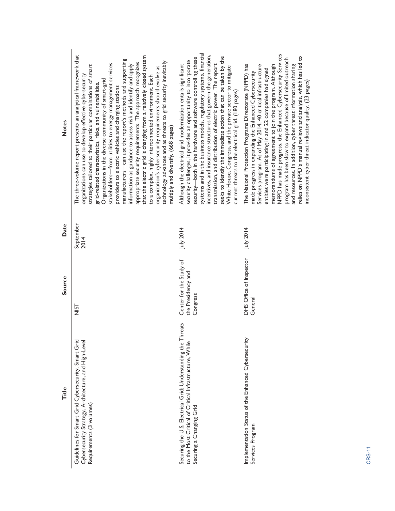| Title                                                                                                                                              | Source                                                    | Date              | <b>Notes</b>                                                                                                                                                                                                                                                                                                                                                                                                                                                                                                                                                                                                                                                                                                                                                                                                                                                                                                                           |
|----------------------------------------------------------------------------------------------------------------------------------------------------|-----------------------------------------------------------|-------------------|----------------------------------------------------------------------------------------------------------------------------------------------------------------------------------------------------------------------------------------------------------------------------------------------------------------------------------------------------------------------------------------------------------------------------------------------------------------------------------------------------------------------------------------------------------------------------------------------------------------------------------------------------------------------------------------------------------------------------------------------------------------------------------------------------------------------------------------------------------------------------------------------------------------------------------------|
| Guidelines for Smart Grid Cybersecurity, Smart Grid<br>Cybersecurity Strategy, Architecture, and High-Level<br>Requirements (3 volumes)            | 능<br>기                                                    | September<br>2014 | The three-volume report presents an analytical framework that<br>that the electric grid is changing from a relatively closed system<br>manufacturers-can use the report's methods and supporting<br>technology advances and as threats to grid security inevitably<br>appropriate security requirements. The approach recognizes<br>stakeholders-from utilities to energy management services<br>information as guidance to assess risk and identify and apply<br>strategies tailored to their particular combinations of smart<br>organization's cybersecurity requirements should evolve as<br>organizations can use to develop effective cybersecurity<br>to a complex, highly interconnected environment. Each<br>Organizations in the diverse community of smart-grid<br>grid-related characteristics, risks, and vulnerabilities.<br>providers to electric vehicles and charging stations<br>multiply and diversify. (668 pages) |
| Securing the U.S. Electrical Grid: Understanding the Threats<br>to the Most Critical of Critical Infrastructure, While<br>Securing a Changing Grid | Center for the Study of<br>the Presidency and<br>Congress | July 2014         | systems and in the business models, regulatory systems, financial<br>incentives, and insurance structures that govern the generation,<br>seeks to identify the immediate action that can be taken by the<br>security—both in the hardware and software controlling these<br>security challenges, it provides an opportunity to incorporate<br>Although the electrical grid modernization entails significant<br>transmission, and distribution of electric power. The report<br>White House, Congress, and the private sector to mitigate<br>current threats to the electrical grid. (180 pages)                                                                                                                                                                                                                                                                                                                                       |
| Implementation Status of the Enhanced Cybersecurity<br>Services Program                                                                            | DHS Office of Inspector<br>General                        | July 2014         | NPPD has made progress, the Enhanced Cybersecurity Services<br>relies on NPPD's manual reviews and analysis, which has led to<br>program has been slow to expand because of limited outreach<br>The National Protection Programs Directorate (NPPD) has<br>Services program. As of May 2014, 40 critical infrastructure<br>and resources. In addition, cyber threat information sharing<br>memorandums of agreement to join the program. Although<br>entities were participating in and 22 companies had signed<br>made progress in expanding the Enhanced Cybersecurity<br>inconsistent cyber threat indicator quality. (23 pages)                                                                                                                                                                                                                                                                                                    |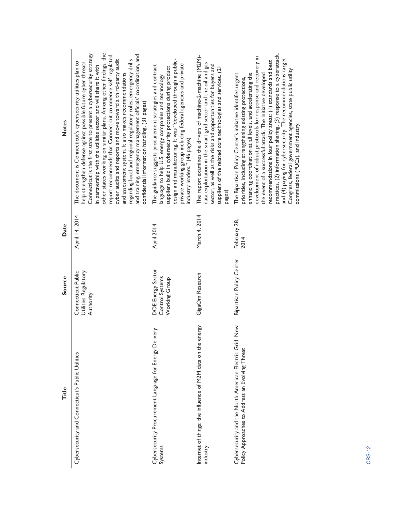| Title                                                                                                         | Source                                                  | Date                 | <b>Notes</b>                                                                                                                                                                                                                                                                                                                                                                                                                                                                                                                                                                                                                                                                                                              |
|---------------------------------------------------------------------------------------------------------------|---------------------------------------------------------|----------------------|---------------------------------------------------------------------------------------------------------------------------------------------------------------------------------------------------------------------------------------------------------------------------------------------------------------------------------------------------------------------------------------------------------------------------------------------------------------------------------------------------------------------------------------------------------------------------------------------------------------------------------------------------------------------------------------------------------------------------|
| Cybersecurity and Connecticut's Public Utilities                                                              | Connecticut Public<br>Utilities Regulatory<br>Authority | April 14, 2014       | other states working on similar plans. Among other findings, the<br>Connecticut is the first state to present a cybersecurity strategy<br>and training, emergency management officials' coordination, and<br>report recommends that Connecticut commence self-regulated<br>cyber audits and reports and move toward a third-party audit<br>regarding local and regional regulatory roles, emergency drills<br>help strengthen defense against possible future cyber threats.<br>The document is Connecticut's cybersecurity utilities plan to<br>in partnership with the utilities sector and will share it with<br>and assessment system. It also makes recommendations<br>confidential information handling. (31 pages) |
| Cybersecurity Procurement Language for Energy Delivery<br>Systems                                             | DOE Energy Sector<br>Control Systems<br>Working Group   | April 2014           | design and manufacturing. It was "developed through a public-<br>private working group including federal agencies and private<br>The guidance suggests procurement strategies and contract<br>suppliers build in cybersecurity protections during product<br>language to help $\overline{\mathsf{U}}$ .S. energy companies and technology<br>industry leaders." (46 pages)                                                                                                                                                                                                                                                                                                                                                |
| Internet of things: the influence of M2M data on the energy<br>industry                                       | GigaOm Research                                         | March 4, 2014        | The report examines the drivers of machine-2-machine (M2M)-<br>data exploitation in the smart-grid sector and the oil and gas<br>sector, as well as the risks and opportunities for buyers and<br>suppliers of the related core technologies and services. (21<br>pages)                                                                                                                                                                                                                                                                                                                                                                                                                                                  |
| ≷<br>Cybersecurity and the North American Electric Grid: N<br>Policy Approaches to Address an Evolving Threat | Bipartisan Policy Center                                | February 28,<br>2014 | practices, (2) information sharing, (3) response to a cyberattack,<br>development of robust protocols for response and recovery in<br>and (4) paying for cybersecurity. The recommendations target<br>recommendations in four policy areas: (1) standards and best<br>Congress, federal government agencies, state public utility<br>The Bipartisan Policy Center's initiative identifies urgent<br>enhancing coordination at all levels, and accelerating the<br>the event of a successful attack. The initiative developed<br>priorities, including strengthening existing protections,<br>commissions (PUCs), and industry.                                                                                            |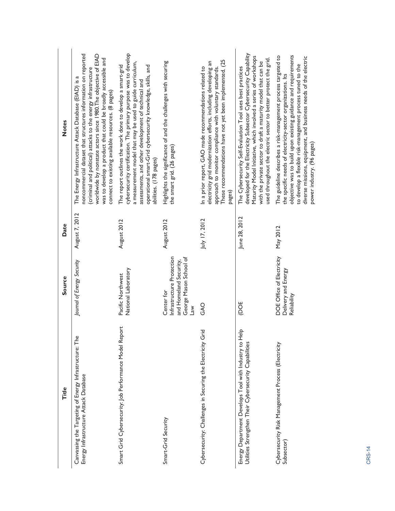| Title                                                                                                          | Source                                                                                                               | Date           | <b>Notes</b>                                                                                                                                                                                                                                                                                                                                                                     |
|----------------------------------------------------------------------------------------------------------------|----------------------------------------------------------------------------------------------------------------------|----------------|----------------------------------------------------------------------------------------------------------------------------------------------------------------------------------------------------------------------------------------------------------------------------------------------------------------------------------------------------------------------------------|
| Canvassing the Targeting of Energy Infrastructure: The<br>Energy Infrastructure Attack Database                | Journal of Energy Security                                                                                           | August 7, 2012 | noncommercial dataset that structures information on reported<br>worldwide by nonstate actors since 1980. The objective of EIAD<br>was to develop a product that could be broadly accessible and<br>(criminal and political) attacks to the energy infrastructure<br>The Energy Infrastructure Attack Database (EIAD) is a<br>connect to existing available resources. (8 pages) |
| Smart Grid Cybersecurity: Job Performance Model Report                                                         | National Laboratory<br>Pacific Northwest                                                                             | August 2012    | cybersecurity certification. The primary purpose was to develop<br>a measurement model that may be used to guide curriculum,<br>The report outlines the work done to develop a smart-grid<br>operational smart-Grid cybersecurity knowledge, skills, and<br>assessments, and other development of technical and<br>abilities. (178 pages)                                        |
| Smart-Grid Security                                                                                            | Infrastructure Protection<br>George Mason School of<br>and Homeland Security,<br>Center for<br>$\sum_{i=1}^{\infty}$ | August 2012    | Highlights the significance of and the challenges with securing<br>the smart grid. (26 pages)                                                                                                                                                                                                                                                                                    |
| Cybersecurity: Challenges in Securing the Electricity Grid                                                     | <b>OAG</b>                                                                                                           | July 17, 2012  | These recommendations have not yet been implemented. (25<br>electricity grid modernization efforts, including developing an<br>In a prior report, GAO made recommendations related to<br>approach to monitor compliance with voluntary standards.<br>pages)                                                                                                                      |
| Energy Department Develops Tool with Industry to Help<br>Utilities Strengthen Their Cybersecurity Capabilities | (DOE                                                                                                                 | June 28, 2012  | developed for the Electricity Subsector Cybersecurity Capability<br>Maturity Model Initiative, which involved a series of workshops<br>used throughout the electric sector to better protect the grid.<br>with the private sector to draft a maturity model that can be<br>The Cybersecurity Self-Evaluation Tool uses best practices                                            |
| Cybersecurity Risk Management Process (Electricity<br>Subsector)                                               | DOE Office of Electricity<br>Delivery and Energy<br>Reliability                                                      | May 2012       | objective was to build upon existing guidance and requirements<br>The guideline describes a risk-management process targeted to<br>diverse missions, equipment, and business needs of the electric<br>to develop a flexible risk-management process tuned to the<br>the specific needs of electricity-sector organizations. Its<br>power industry. (96 pages)                    |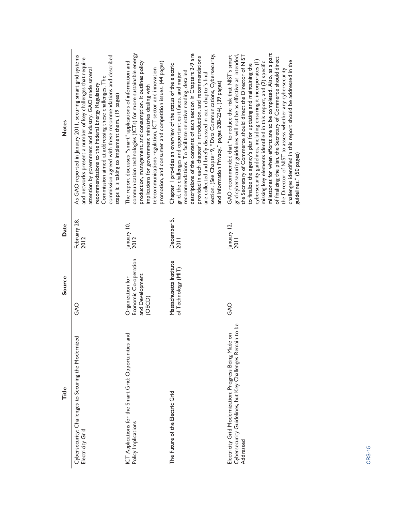| Title                                                                                                                            | Source                                                                 | Date                 | <b>Notes</b>                                                                                                                                                                                                                                                                                                                                                                                                                                                                                                                                                                                                                                                                                                 |
|----------------------------------------------------------------------------------------------------------------------------------|------------------------------------------------------------------------|----------------------|--------------------------------------------------------------------------------------------------------------------------------------------------------------------------------------------------------------------------------------------------------------------------------------------------------------------------------------------------------------------------------------------------------------------------------------------------------------------------------------------------------------------------------------------------------------------------------------------------------------------------------------------------------------------------------------------------------------|
| Cybersecurity: Challenges to Securing the Modernized<br>Electricity Grid                                                         | O<br>AO                                                                | February 28,<br>2012 | commission agreed with these recommendations and described<br>As GAO reported in January 2011, securing smart grid systems<br>and networks present a number of key challenges that require<br>attention by government and industry. GAO made several<br>Commission aimed at addressing these challenges. The<br>recommendations to the Federal Energy Regulatory<br>steps it is taking to implement them. (19 pages)                                                                                                                                                                                                                                                                                         |
| ICT Applications for the Smart Grid: Opportunities and<br>Policy Implications                                                    | Economic Co-operation<br>and Development<br>Organization for<br>(OECD) | January 10,<br>2012  | communication technologies (ICTs) for more sustainable energy<br>The report discusses "smart" applications of information and<br>promotion, and consumer and competition issues. (44 pages)<br>production, management, and consumption. It outlines policy<br>telecommunications regulation, ICT sector and innovation<br>implications for government ministries dealing with                                                                                                                                                                                                                                                                                                                                |
| The Future of the Electric Grid                                                                                                  | Massachusetts Institute<br>of Technology (MIT)                         | December 5,<br>2011  | descriptions of the contents of each section in Chapters 2-9 are<br>section. (See Chapter 9, "Data Communications, Cybersecurity,<br>provided in each chapter's introduction, and recommendations<br>Chapter 1 provides an overview of the status of the electric<br>recommendations. To facilitate selective reading, detailed<br>are collected and briefly discussed in each chapter's final<br>grid, the challenges and opportunities it faces, and major<br>and Information Privacy," pages 208-234). (39 pages)                                                                                                                                                                                         |
| Cybersecurity Guidelines, but Key Challenges Remain to be<br>Electricity Grid Modernization: Progress Being Made on<br>Addressed | <b>OAG</b>                                                             | January 12,<br>201   | milestones for when efforts are to be completed. Also, as a part<br>grid cybersecurity guidelines will not be as effective as intended,<br>GAO recommended that "to reduce the risk that NIST's smart<br>the Secretary of Commerce should direct the Director of NIST<br>of finalizing the plan, the Secretary of Commerce should direct<br>cybersecurity guidelines, including ensuring it incorporates (1)<br>challenges identified in this report should be addressed in the<br>missing key elements identified in this report, and (2) specific<br>to finalize the agency's plan for updating and maintaining the<br>the Director of NIST to assess whether any cybersecurity<br>guidelines." (50 pages) |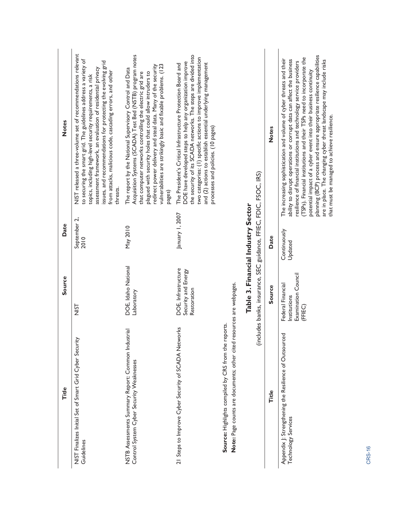| Title                                                                                                                        | Source                                                              | Date                               | <b>Notes</b>                                                                                                                                                                                                                                                                                                                                                                                                                                                                                                                                                      |
|------------------------------------------------------------------------------------------------------------------------------|---------------------------------------------------------------------|------------------------------------|-------------------------------------------------------------------------------------------------------------------------------------------------------------------------------------------------------------------------------------------------------------------------------------------------------------------------------------------------------------------------------------------------------------------------------------------------------------------------------------------------------------------------------------------------------------------|
| NIST Finalizes Initial Set of Smart Grid Cyber Security<br>Guidelines                                                        | <b>USIN</b>                                                         | September 2,<br>2010               | NIST released a three-volume set of recommendations relevant<br>to securing the smart grid. The guidelines address a variety of<br>issues, and recommendations for protecting the evolving grid<br>assessment framework, an evaluation of residential privacy<br>from attacks, malicious code, cascading errors, and other<br>topics, including high-level security requirements, a risk<br>threats.                                                                                                                                                              |
| NSTB Assessments Summary Report: Common Industrial<br>Control System Cyber Security Weaknesses                               | DOE, Idaho National<br>Laboratory                                   | May 2010                           | Acquisition Systems (SCADA) Test Bed (NSTB) program notes<br>vulnerabilities are strikingly basic and fixable problems. (123<br>redirect power delivery and steal data. Many of the security<br>The report by the National Supervisory Control and Data<br>plagued with security holes that could allow intruders to<br>that computer networks controlling the electric grid are<br>pages)                                                                                                                                                                        |
| 21 Steps to Improve Cyber Security of SCADA Networks                                                                         | DOE, Infrastructure<br>Security and Energy<br>Restoration           | January 1, 2007                    | the security of its SCADA networks. The steps are divided into<br>two categories: (1) specific actions to improve implementation<br>DOE have developed steps to help any organization improve<br>and (2) actions to establish essential underlying management<br>The President's Critical Infrastructure Protection Board and<br>processes and policies. (10 pages)                                                                                                                                                                                               |
| Note: Page counts are documents; other cited resources are webpages.<br>Source: Highlights compiled by CRS from the reports. |                                                                     |                                    |                                                                                                                                                                                                                                                                                                                                                                                                                                                                                                                                                                   |
|                                                                                                                              | (includes banks, insurance, SEC guidance, FFIEC, FDIC, FSOC, IRS)   | Table 3. Financial Industry Sector |                                                                                                                                                                                                                                                                                                                                                                                                                                                                                                                                                                   |
| Title                                                                                                                        | Source                                                              | Date                               | <b>Notes</b>                                                                                                                                                                                                                                                                                                                                                                                                                                                                                                                                                      |
| Appendix J: Strengthening the Resilience of Outsourced<br>Technology Services                                                | Examination Council<br>Federal Financial<br>Institutions<br>(FFIEC) | Continuously<br>Updated            | planning (BCP) process and ensure appropriate resilience capabilities<br>(TSPs). Financial institutions and their TSPs need to incorporate the<br>The increasing sophistication and volume of cyber threats and their<br>ability to disrupt operations or corrupt data can affect the business<br>are in place. The changing cyber threat landscape may include risks<br>resilience of financial institutions and technology service providers<br>potential impact of a cyber event into their business continuity<br>that must be managed to achieve resilience. |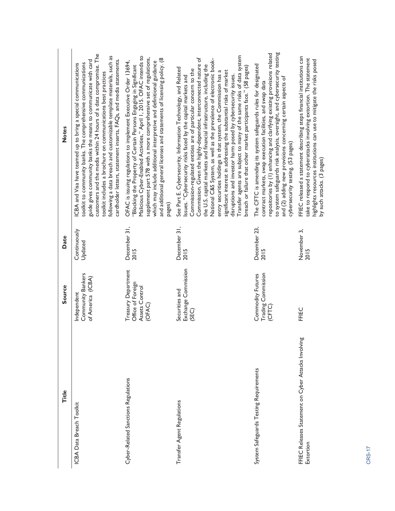| Title                                                            | Source                                                               | Date                    | <b>Notes</b>                                                                                                                                                                                                                                                                                                                                                                                                                                                                                                                                                                                                                                                                                                                                                              |
|------------------------------------------------------------------|----------------------------------------------------------------------|-------------------------|---------------------------------------------------------------------------------------------------------------------------------------------------------------------------------------------------------------------------------------------------------------------------------------------------------------------------------------------------------------------------------------------------------------------------------------------------------------------------------------------------------------------------------------------------------------------------------------------------------------------------------------------------------------------------------------------------------------------------------------------------------------------------|
| ICBA Data Breach Toolkit                                         | Community Bankers<br>of America (ICBA)<br>Independent                | Continuously<br>Updated | customers and the media within 24 hours of a data compromise. The<br>ollowing a data breach and customizable template materials, such as<br>cardholder letters, statement inserts, FAQs, and media statements.<br>guide gives community banks the means to communicate with card<br>toolkit to community banks. The comprehensive communications<br>ICBA and Visa have teamed up to bring a special communications<br>toolkit includes a brochure on communications best practices                                                                                                                                                                                                                                                                                        |
| Cyber-Related Sanctions Regulations                              | Treasury Department<br>Office of Foreign<br>Assets Control<br>(OFAC) | December 31,<br>2015    | Malicious Cyber-Enabled Activities," April 1, 2015. OFAC intends to<br>supplement part 578 with a more comprehensive set of regulations,<br>and additional general licenses and statements of licensing policy. (8<br>OFAC is issuing regulations to implement Executive Order 13694,<br>which may include additional interpretive and definitional guidance<br>"Blocking the Property of Certain Persons Engaging in Significant<br>pages)                                                                                                                                                                                                                                                                                                                               |
| Transfer Agent Regulations                                       | Exchange Commission<br>Securities and<br>(SEC)                       | December 31,<br>2015    | Transfer agents are subject to many of the same risks of data system<br>Commission. Given the highly-dependent, interconnected nature of<br>National C&S System, as well as the prevalence of electronic book-<br>the U.S. capital markets and financial infrastructure, including the<br>breach or failure that other market participants face." (58 pages)<br>See Part E. Cybersecurity, Information Technology, and Related<br>Commission-regulated entities are of particular concern to the<br>significant interest in addressing the substantial risks of market<br>entry securities holdings in that system, the Commission has a<br>disruptions and investor harm posed by cybersecurity issues.<br>Issues. "Cybersecurity risks faced by the capital markets and |
| System Safeguards Testing Requirements                           | Trading Commission<br>Commodity Futures<br>(CFTC)                    | December 23,<br>2015    | to system safeguards risk analysis, oversight, and cybersecurity testing<br>repositories by (1) enhancing and clarifying existing provisions related<br>The CFTC is amending its system safeguards rules for designated<br>and (2) adding new provisions concerning certain aspects of<br>contract markets, swap execution facilities, and swap data<br>cybersecurity testing. (53 pages)                                                                                                                                                                                                                                                                                                                                                                                 |
| FFIEC Releases Statement on Cyber Attacks Involving<br>Extortion | FFIEC                                                                | November 3,<br>2015     | FFIEC released a statement describing steps financial institutions can<br>take to respond to cyberattacks involving extortion. The statement<br>highlights resources institutions can use to mitigate the risks posed<br>by such attacks. (3 pages)                                                                                                                                                                                                                                                                                                                                                                                                                                                                                                                       |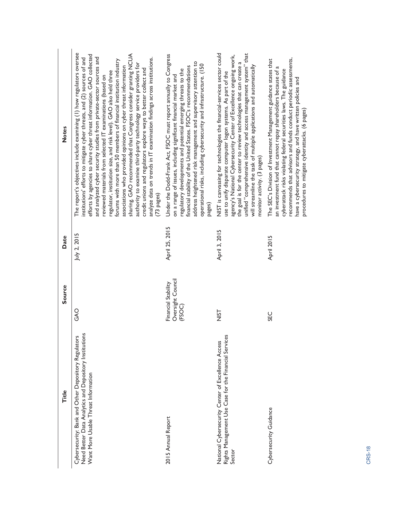| <b>Notes</b><br>Date<br>Source | The report's objectives include examining (1) how regulators oversee<br>sharing. GAO recommended that Congress consider granting NCUA<br>efforts by agencies to share cyber threat information. GAO collected<br>and analyzed cyber security studies from private-sector sources and<br>institutions' efforts to mitigate cyber threats, and (2) sources of and<br>analyze data on trends in IT examination findings across institutions.<br>forums with more than 50 members of financial institution industry<br>authority to examine third-party technology service providers for<br>associations who provided opinions on cyber threat information<br>credit unions and regulators explore ways to better collect and<br>regulator, institution size, and risk level). GAO also held three<br>reviewed materials from selected IT examinations (based on<br>(73 pages)<br>July 2, 2015<br><b>OAG</b> | Under the Dodd-Frank Act, FSOC must report annually to Congress<br>address heightened risk management and supervisory attention to<br>operational risks, including cybersecurity and infrastructure. (150<br>financial stability of the United States. FSOC's recommendations<br>regulatory developments and potential emerging threats to the<br>on a range of issues, including significant financial market and<br>pages)<br>April 25, 2015<br>Oversight Council<br>Financial Stability<br>(FSOC) | NIST is canvassing for technologies the financial-services sector could<br>unified "comprehensive identity and access management system" that<br>agency's National Cybersecurity Center of Excellence ongoing work,<br>the goal is for the center to review technologies that can create a<br>will streamline the task of multiple applications and automatically<br>use to unify disparate computer logon systems. As part of the<br>monitor activity. (3 pages)<br>April 3, 2015<br><b>SIN</b> | recommends that advisors and funds conduct periodic assessments,<br>The SEC's Division of Investment Management guidance states that<br>cyberattack risks violating federal securities laws. The guidance<br>an investment fund that cannot repay shareholders because of<br>have a cybersecurity strategy, and have written policies and<br>procedures to mitigate cyberattacks. (6 pages)<br>April 2015<br><b>SEC</b> |
|--------------------------------|----------------------------------------------------------------------------------------------------------------------------------------------------------------------------------------------------------------------------------------------------------------------------------------------------------------------------------------------------------------------------------------------------------------------------------------------------------------------------------------------------------------------------------------------------------------------------------------------------------------------------------------------------------------------------------------------------------------------------------------------------------------------------------------------------------------------------------------------------------------------------------------------------------|------------------------------------------------------------------------------------------------------------------------------------------------------------------------------------------------------------------------------------------------------------------------------------------------------------------------------------------------------------------------------------------------------------------------------------------------------------------------------------------------------|--------------------------------------------------------------------------------------------------------------------------------------------------------------------------------------------------------------------------------------------------------------------------------------------------------------------------------------------------------------------------------------------------------------------------------------------------------------------------------------------------|-------------------------------------------------------------------------------------------------------------------------------------------------------------------------------------------------------------------------------------------------------------------------------------------------------------------------------------------------------------------------------------------------------------------------|
| Title                          | Need Better Data Analytics and Depository Institutions<br>Cybersecurity: Bank and Other Depository Regulators<br>Want More Usable Threat Information                                                                                                                                                                                                                                                                                                                                                                                                                                                                                                                                                                                                                                                                                                                                                     | 2015 Annual Report                                                                                                                                                                                                                                                                                                                                                                                                                                                                                   | Rights Management Use Case for the Financial Services<br>National Cybersecurity Center of Excellence Access<br>Sector                                                                                                                                                                                                                                                                                                                                                                            | Cybersecurity Guidance                                                                                                                                                                                                                                                                                                                                                                                                  |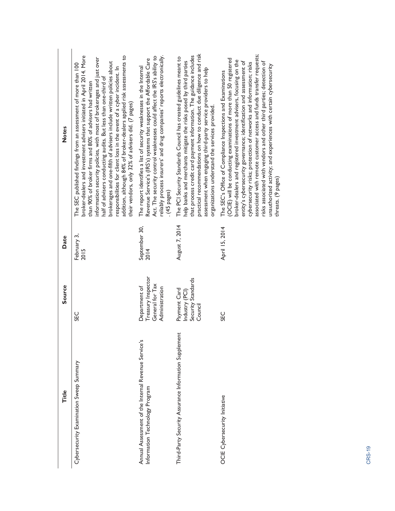| Title                                                                                 | <b>Source</b>                                                            | Date                  | <b>Notes</b>                                                                                                                                                                                                                                                                                                                                                                                                                                                                                                                                                                                                               |
|---------------------------------------------------------------------------------------|--------------------------------------------------------------------------|-----------------------|----------------------------------------------------------------------------------------------------------------------------------------------------------------------------------------------------------------------------------------------------------------------------------------------------------------------------------------------------------------------------------------------------------------------------------------------------------------------------------------------------------------------------------------------------------------------------------------------------------------------------|
| Cybersecurity Examination Sweep Summary                                               | 550                                                                      | February 3,<br>2015   | addition, although 84% of broker-dealers applied risk assessments to<br>broker-dealers and investment advisers initiated in April 2014. More<br>information security policies, with most of brokerages and just over<br>brokerages and one-fifth of advisers include written policies about<br>The SEC published findings from an assessment of more than 100<br>responsibilities for client loss in the event of a cyber incident. In<br>half of advisers conducting audits. But less than one-third of<br>than 90% of broker firms and 80% of advisers had written<br>their vendors, only 32% of advisers did. (7 pages) |
| Annual Assessment of the Internal Revenue Service's<br>Information Technology Program | Treasury Inspector<br>General for Tax<br>Department of<br>Administration | September 30,<br>2014 | reliably process insurers' and drug companies' reports electronically.<br>Act. The security control weaknesses could affect the IRS's ability to<br>Revenue Service's (IRS's) systems that support the Affordable Care<br>The report identifies a list of security weaknesses in the Internal<br>$(45$ pages)                                                                                                                                                                                                                                                                                                              |
| Third-Party Security Assurance Information Supplement                                 | Security Standards<br>Payment Card<br>Industry (PCI)<br>Council          | August 7, 2014        | practical recommendations on how to conduct due diligence and risk<br>that process credit card payment information. The guidance includes<br>The PCI Security Standards Council has created guidelines meant to<br>help banks and merchants mitigate the risks posed by third parties<br>assessment when engaging third-party service providers to help<br>organizations understand the services provided.                                                                                                                                                                                                                 |
| OCIE Cybersecurity Initiative                                                         | <b>CHC</b>                                                               | April 15, 2014        | associated with remote customer access and funds transfer requests;<br>(OCIE) will be conducting examinations of more than 50 registered<br>broker-dealers and registered investment advisers, focusing on the<br>entity's cybersecurity governance; identification and assessment of<br>risks associated with vendors and other third parties; detection of<br>cybersecurity risks; protection of networks and information; risks<br>unauthorized activity; and experiences with certain cybersecurity<br>The SEC's Office of Compliance Inspections and Examinations<br>threats. (9 pages)                               |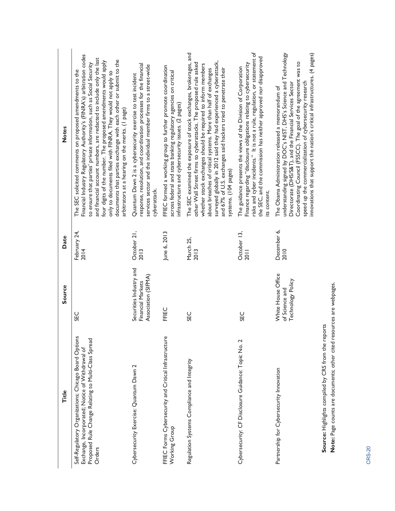| Title                                                                                                                                                                    | Source                                                              | Date                 | <b>Notes</b>                                                                                                                                                                                                                                                                                                                                                                                                                                                                                                                               |
|--------------------------------------------------------------------------------------------------------------------------------------------------------------------------|---------------------------------------------------------------------|----------------------|--------------------------------------------------------------------------------------------------------------------------------------------------------------------------------------------------------------------------------------------------------------------------------------------------------------------------------------------------------------------------------------------------------------------------------------------------------------------------------------------------------------------------------------------|
| Self-Regulatory Organizations; Chicago Board Options<br>Proposed Rule Change Relating to Multi-Class Spread<br>Exchange, Incorporated; Notice of Withdrawal of<br>Orders | <b>SEC</b>                                                          | February 24,<br>2014 | Financial Industry Regulatory Authority's (FINRA's) arbitration codes<br>and financial account numbers, are redacted to include only the last<br>documents that parties exchange with each other or submit to the<br>four digits of the number. The proposed amendments would apply<br>to ensure that parties' private information, such as Social Security<br>The SEC solicited comments on proposed amendments to the<br>only to documents filed with FINRA. They would not apply to<br>arbitrators at a hearing on the merits. (1 page) |
| Cybersecurity Exercise: Quantum Dawn 2                                                                                                                                   | Securities Industry and<br>Association (SIFMA)<br>Financial Markets | October 21,<br>2013  | response, resolution, and coordination processes for the financial<br>services sector and the individual member firms to a street-wide<br>Quantum Dawn 2 is a cybersecurity exercise to test incident<br>cyberattack.                                                                                                                                                                                                                                                                                                                      |
| FFIEC Forms Cybersecurity and Critical Infrastructure<br>Working Group                                                                                                   | FFIEC                                                               | June 6, 2013         | FFIEC formed a working group to further promote coordination<br>across federal and state banking regulatory agencies on critical<br>infrastructure and cybersecurity issues. (2 pages)                                                                                                                                                                                                                                                                                                                                                     |
| Regulation Systems Compliance and Integrity                                                                                                                              | <b>CEC</b>                                                          | March 25,<br>2013    | The SEC examined the exposure of stock exchanges, brokerages, and<br>surveyed globally in 2012 said they had experienced a cyberattack,<br>other Wall Street firms to cyberattacks. The proposed rule asked<br>whether stock exchanges should be required to inform members<br>and 67% of U.S. exchanges said hackers tried to penetrate their<br>about breaches of critical systems. More than half of exchanges<br>systems. (104 pages)                                                                                                  |
| Cybersecurity: CF Disclosure Guidance: Topic No. 2                                                                                                                       | <b>SEC</b>                                                          | October 13,<br>2011  | risks and cyber incidents." It is not a rule, regulation, or statement of<br>the SEC, and the commission has neither approved nor disapproved<br>Finance regarding "disclosure obligations relating to cybersecurity<br>The guidance presents the views of the Division of Corporation<br>its content.                                                                                                                                                                                                                                     |
| Partnership for Cybersecurity Innovation                                                                                                                                 | White House Office<br>Technology Policy<br>of Science and           | December 6,<br>2010  | innovations that support the nation's critical infrastructures. (4 pages)<br>understanding signed by DOC's NIST, DHS's Science and Technology<br>Coordinating Council (FSSCC). The goal of the agreement was to<br>speed up the commercialization of cybersecurity research<br>Directorate (DHS/S&T), and the Financial Services Sector<br>The Obama Administration released a memorandum of                                                                                                                                               |
| Note: Page counts are documents; other cited resources are webpages.<br>Source: Highlights compiled by CRS from the reports                                              |                                                                     |                      |                                                                                                                                                                                                                                                                                                                                                                                                                                                                                                                                            |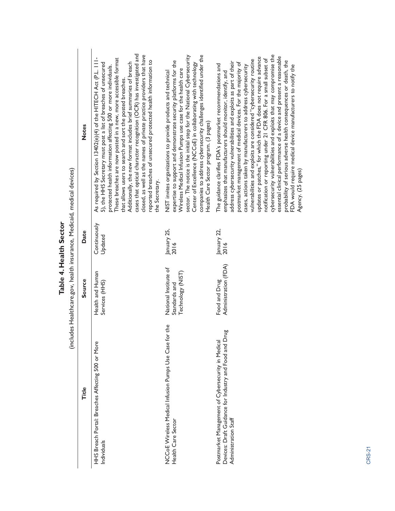|                        |                                                                        | <b>Notes</b>  | cases that optical character recognition (OCR) has investigated and<br>closed, as well as the names of private practice providers that have<br>As required by Section 13402(e)(4) of the HITECH Act (P.L. 111-<br>These breaches are now posted in a new, more accessible format<br>reported breaches of unsecured protected health information to<br>Additionally, the new format includes brief summaries of breach<br>5), the HHS Secretary must post a list of breaches of unsecured<br>protected health information affecting 500 or more individuals.<br>that allows users to search and sort the posted breaches.<br>the Secretary. | companies to address cybersecurity challenges identified under the<br>sector. The notice is the initial step for the National Cybersecurity<br>expertise to support and demonstrate security platforms for the<br>Center of Excellence (NCCoE) in collaborating with technology<br>Wireless Medical Infusion Pumps use case for the health care<br>NIST invites organizations to provide products and technical<br>Health Care Sector program. (3 pages) | cybersecurity vulnerabilities and exploits that may compromise the<br>essential clinical performance of a device and present a reasonable<br>updates or patches," for which the FDA does not require advance<br>notification or reporting under 21 CFR 806. For a small subset of<br>vulnerabilities and exploits are considered "cybersecurity routine<br>probability of serious adverse health consequences or death, the<br>address cybersecurity vulnerabilities and exploits as part of their<br>postmarket management of medical devices. For the majority of<br>The guidance clarifies FDA's postmarket recommendations and<br>FDA would require medical device manufacturers to notify the<br>cases, actions taken by manufacturers to address cybersecurity<br>emphasizes that manufacturers should monitor, identify, and<br>Agency. (25 pages) |
|------------------------|------------------------------------------------------------------------|---------------|--------------------------------------------------------------------------------------------------------------------------------------------------------------------------------------------------------------------------------------------------------------------------------------------------------------------------------------------------------------------------------------------------------------------------------------------------------------------------------------------------------------------------------------------------------------------------------------------------------------------------------------------|----------------------------------------------------------------------------------------------------------------------------------------------------------------------------------------------------------------------------------------------------------------------------------------------------------------------------------------------------------------------------------------------------------------------------------------------------------|-----------------------------------------------------------------------------------------------------------------------------------------------------------------------------------------------------------------------------------------------------------------------------------------------------------------------------------------------------------------------------------------------------------------------------------------------------------------------------------------------------------------------------------------------------------------------------------------------------------------------------------------------------------------------------------------------------------------------------------------------------------------------------------------------------------------------------------------------------------|
| Table 4. Health Sector |                                                                        | Date          | Continuously<br>Updated                                                                                                                                                                                                                                                                                                                                                                                                                                                                                                                                                                                                                    | January 25,<br>2016                                                                                                                                                                                                                                                                                                                                                                                                                                      | January 22,<br>2016                                                                                                                                                                                                                                                                                                                                                                                                                                                                                                                                                                                                                                                                                                                                                                                                                                       |
|                        | (includes Healthcare.gov, health insurance, Medicaid, medical devices) | <b>Source</b> | Health and Human<br>Services (HHS)                                                                                                                                                                                                                                                                                                                                                                                                                                                                                                                                                                                                         | National Institute of<br>Technology (NIST)<br>Standards and                                                                                                                                                                                                                                                                                                                                                                                              | Administration (FDA)<br>Food and Drug                                                                                                                                                                                                                                                                                                                                                                                                                                                                                                                                                                                                                                                                                                                                                                                                                     |
|                        |                                                                        | Title         | HHS Breach Portal: Breaches Affecting 500 or More<br>Individuals                                                                                                                                                                                                                                                                                                                                                                                                                                                                                                                                                                           | NCCoE Wireless Medical Infusion Pumps Use Case for the<br>Health Care Sector                                                                                                                                                                                                                                                                                                                                                                             | Devices: Draft Guidance for Industry and Food and Drug<br>Postmarket Management of Cybersecurity in Medical<br>Administration Staff                                                                                                                                                                                                                                                                                                                                                                                                                                                                                                                                                                                                                                                                                                                       |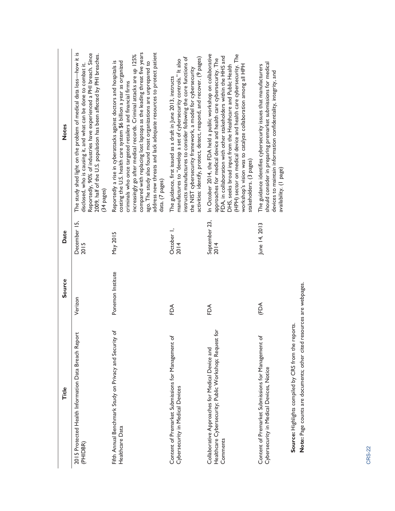| Title                                                                                                                        | Source            | Date                  | <b>Notes</b>                                                                                                                                                                                                                                                                                                                                                                                                                                                                                                      |
|------------------------------------------------------------------------------------------------------------------------------|-------------------|-----------------------|-------------------------------------------------------------------------------------------------------------------------------------------------------------------------------------------------------------------------------------------------------------------------------------------------------------------------------------------------------------------------------------------------------------------------------------------------------------------------------------------------------------------|
| 2015 Protected Health Information Data Breach Report<br>(PHIDBR)                                                             | Verizon           | December 15,<br>2015  | The study shed light on the problem of medical data loss-how it is<br>Reportedly, 90% of industries have experienced a PHI breach. Since<br>2009, half of the U.S. population has been affected by PHI breaches.<br>disclosed, who is causing it, and what can be done to combat it.<br>$(34$ pages)                                                                                                                                                                                                              |
| Fifth Annual Benchmark Study on Privacy and Security of<br>Healthcare Data                                                   | Ponemon Institute | May 2015              | address new threats and lack adequate resources to protect patient<br>compared with replacing lost laptops as the leading threat five years<br>increasingly go after medical records. Criminal attacks are up 125%<br>costing the U.S. health care system \$6 billion a year as organized<br>Reportedly a rise in cyberattacks against doctors and hospitals is<br>ago. The study also found most organizations are unprepared to<br>criminals who once targeted retailers and financial firms<br>data. (7 pages) |
| Content of Premarket Submissions for Management of<br>Cybersecurity in Medical Devices                                       | FDA               | October 1,<br>2014    | activities: identify, protect, detect, respond, and recover. (9 pages)<br>instructs manufactures to consider following the core functions of<br>manufactures to "develop a set of cybersecurity controls." It also<br>the NIST cybersecurity framework, a model for cybersecurity<br>The guidance, first issued as a draft in June 2013, instructs                                                                                                                                                                |
| Healthcare Cybersecurity; Public Workshop; Request for<br>Collaborative Approaches for Medical Device and<br>Comments        | FDA               | September 23,<br>2014 | In October 2014, the FDA held a public workshop on collaborative<br>(HPH) sector on medical device and health care cybersecurity. The<br>FDA, in collaboration with other stakeholders within the HHS and<br>approaches for medical device and health care cybersecurity. The<br>DHS, seeks broad input from the Healthcare and Public Health<br>workshop's vision was to catalyze collaboration among all HPH<br>stakeholders. (3 pages)                                                                         |
| Content of Premarket Submissions for Management of<br>Cybersecurity in Medical Devices, Notice                               | (FDA              | June 14, 2013         | should consider in preparing premarket submissions for medical<br>The guidance identifies cybersecurity issues that manufacturers<br>devices to maintain information confidentiality, integrity, and<br>availability. (1 page)                                                                                                                                                                                                                                                                                    |
| Note: Page counts are documents; other cited resources are webpages.<br>Source: Highlights compiled by CRS from the reports. |                   |                       |                                                                                                                                                                                                                                                                                                                                                                                                                                                                                                                   |
|                                                                                                                              |                   |                       |                                                                                                                                                                                                                                                                                                                                                                                                                                                                                                                   |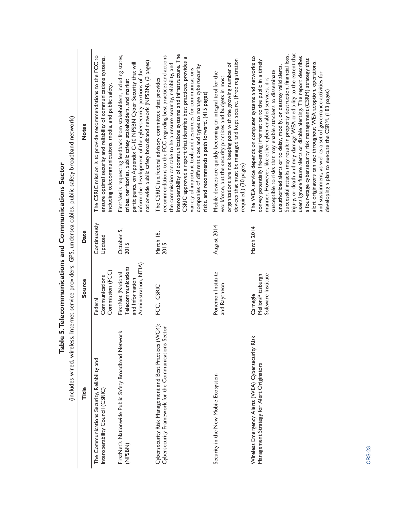| Internet service providers, GPS, undersea cables, public safety broadband network) | <b>Notes</b> | The CSRIC mission is to provide recommendations to the FCC to<br>ensure optimal security and reliability of communications systems,<br>including telecommunications, media, and public safety | FirstNet is requesting feedback from stakeholders, including states,<br>nationwide public safety broadband network (NPSBN). (3 pages)<br>participants, on Appendix C-10 NPSBN Cyber Security that will<br>inform the development of the cybersecurity portions of the<br>tribes, territories, public safety stakeholders, and market | interoperability of communications systems and infrastructure. The<br>recommendations to the FCC regarding best practices and actions<br>CSRIC approved a report that identifies best practices, provides a<br>the commission can take to help ensure security, reliability, and<br>companies of different sizes and types to manage cybersecurity<br>variety of important tools and resources for communications<br>The CSRIC is a federal advisory committee that provides<br>risks, and recommends a path forward. (415 pages) | devices that must be managed and kept secure. (Free registration<br>organizations are not keeping pace with the growing number of<br>Mobile devices are quickly becoming an integral tool for the<br>workforce, but the security practices and budgets in most<br>required.) (30 pages) | injury, or death and may damage WEA credibility to the extent that<br>Successful attacks may result in property destruction, financial loss,<br>The WEA service depends on computer systems and networks to<br>users ignore future alerts or disable alerting. The report describes<br>a four-stage cybersecurity risk management (CSRM) strategy that<br>convey potentially life-saving information to the public in a timely<br>alert originators can use throughout WEA adoption, operations,<br>unauthorized alerts or to delay, modify, or destroy valid alerts.<br>susceptible to risks that may enable attackers to disseminate<br>and sustainment, as well as a set of governance activities for<br>manner. However, like other cyber-enabled services, it is<br>developing a plan to execute the CSRM. (183 pages) |
|------------------------------------------------------------------------------------|--------------|-----------------------------------------------------------------------------------------------------------------------------------------------------------------------------------------------|--------------------------------------------------------------------------------------------------------------------------------------------------------------------------------------------------------------------------------------------------------------------------------------------------------------------------------------|-----------------------------------------------------------------------------------------------------------------------------------------------------------------------------------------------------------------------------------------------------------------------------------------------------------------------------------------------------------------------------------------------------------------------------------------------------------------------------------------------------------------------------------|-----------------------------------------------------------------------------------------------------------------------------------------------------------------------------------------------------------------------------------------------------------------------------------------|-----------------------------------------------------------------------------------------------------------------------------------------------------------------------------------------------------------------------------------------------------------------------------------------------------------------------------------------------------------------------------------------------------------------------------------------------------------------------------------------------------------------------------------------------------------------------------------------------------------------------------------------------------------------------------------------------------------------------------------------------------------------------------------------------------------------------------|
|                                                                                    | Date         | Continuously<br>Updated                                                                                                                                                                       | October 5,<br>2015                                                                                                                                                                                                                                                                                                                   | March 18,<br>2015                                                                                                                                                                                                                                                                                                                                                                                                                                                                                                                 | August 2014                                                                                                                                                                                                                                                                             | March 2014                                                                                                                                                                                                                                                                                                                                                                                                                                                                                                                                                                                                                                                                                                                                                                                                                  |
|                                                                                    | Source       | Commission (FCC)<br>Communications<br>Federal                                                                                                                                                 | Administration, NTIA)<br>Telecommunications<br>FirstNet (National<br>and Information                                                                                                                                                                                                                                                 | FCC, CSRIC                                                                                                                                                                                                                                                                                                                                                                                                                                                                                                                        | Ponemon Institute<br>and Raytheon                                                                                                                                                                                                                                                       | Software Institute<br>Mellon/Pittsburgh<br>Carnegie                                                                                                                                                                                                                                                                                                                                                                                                                                                                                                                                                                                                                                                                                                                                                                         |
| (includes wired, wireless,                                                         | Title        | The Communications Security, Reliability and<br>Interoperability Council (CSRIC)                                                                                                              | FirstNet's Nationwide Public Safety Broadband Network<br>(NPSBN)                                                                                                                                                                                                                                                                     | Cybersecurity Risk Management and Best Practices (WG4):<br>Cybersecurity Framework for the Communications Sector                                                                                                                                                                                                                                                                                                                                                                                                                  | Security in the New Mobile Ecosystem                                                                                                                                                                                                                                                    | Wireless Emergency Alerts (WEA) Cybersecurity Risk<br>Management Strategy for Alert Originators                                                                                                                                                                                                                                                                                                                                                                                                                                                                                                                                                                                                                                                                                                                             |

Table 5. Telecommunications and Communications Sector **Table 5. Telecommunications and Communications Sector**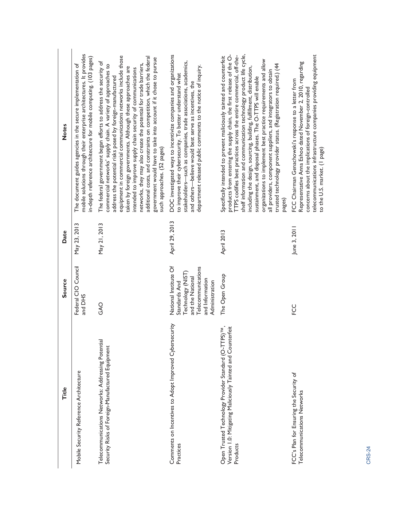| Title                                                                                                                                           | <b>Source</b>                                                                                                                              | Date           | <b>Notes</b>                                                                                                                                                                                                                                                                                                                                                                                                                                                                                                                                                                                                                                    |
|-------------------------------------------------------------------------------------------------------------------------------------------------|--------------------------------------------------------------------------------------------------------------------------------------------|----------------|-------------------------------------------------------------------------------------------------------------------------------------------------------------------------------------------------------------------------------------------------------------------------------------------------------------------------------------------------------------------------------------------------------------------------------------------------------------------------------------------------------------------------------------------------------------------------------------------------------------------------------------------------|
| Mobile Security Reference Architecture                                                                                                          | Federal CIO Council<br>and DHS                                                                                                             | May 23, 2013   | mobile solutions through their enterprise architectures. It provides<br>in-depth reference architecture for mobile computing. (103 pages)<br>The document guides agencies in the secure implementation of                                                                                                                                                                                                                                                                                                                                                                                                                                       |
| Telecommunications Networks: Addressing Potential<br>Security Risks of Foreign-Manufactured Equipment                                           | GAO                                                                                                                                        | May 21, 2013   | equipment in commercial communications networks include those<br>additional costs, and constraints on competition, which the federal<br>government would have to take into account if it chose to pursue<br>The federal government began efforts to address the security of<br>networks, they may also create the potential for trade barriers,<br>commercial networks' supply chain. A variety of approaches to<br>taken by foreign governments. Although these approaches are<br>intended to improve supply chain security of communications<br>address the potential risks posed by foreign-manufactured<br>such approaches. (52 pages)      |
| Comments on Incentives to Adopt Improved Cybersecurity<br>Practices                                                                             | National Institute Of<br>Telecommunications<br>Technology (NIST)<br>and the National<br>and Information<br>Administration<br>Standards And | April 29, 2013 | DOC investigated ways to incentivize companies and organizations<br>stakeholders—such as companies, trade associations, academics,<br>department released public comments to the notice of inquiry.<br>to improve their cybersecurity. To better understand what<br>and others-believe would best serve as incentives, the                                                                                                                                                                                                                                                                                                                      |
| $\overline{M}$<br>Version 1.0: Mitigating Maliciously Tainted and Counterfeit<br>Open Trusted Technology Provider Standard (O-TTPS)<br>Products | The Open Group                                                                                                                             | April 2013     | shelf information and communication technology product life cycle,<br>products from entering the supply chain, the first release of the O-<br>TTPS codifies best practices across the entire commercial, off-the-<br>Specifically intended to prevent maliciously tainted and counterfeit<br>organizations to implement best practice requirements and allow<br>trusted technology provider status. (Registration required.) (44<br>including the design, sourcing, building, fulfillment, distribution,<br>all providers, component suppliers, and integrators to obtain<br>sustainment, and disposal phases. The O-TTPS will enable<br>pages) |
| FCC's Plan for Ensuring the Security of<br>Telecommunications Networks                                                                          | FCC                                                                                                                                        | June 3, 2011   | telecommunications infrastructure companies providing equipment<br>Representative Anna Eshoo dated November 2, 2010, regarding<br>FCC Chairman Genachowski's response to a letter from<br>concerns about the implications of foreign-controlled<br>to the U.S. market. (1 page)                                                                                                                                                                                                                                                                                                                                                                 |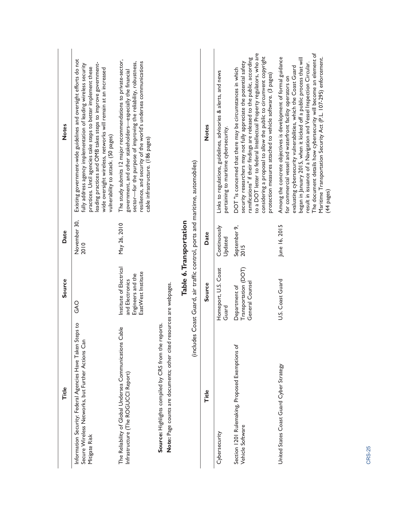| <b>Notes</b><br>Date | Existing government-wide guidelines and oversight efforts do not<br>eading practices and OMB takes steps to improve government-<br>fully address agency implementation of leading wireless security<br>practices. Until agencies take steps to better implement these<br>wide oversight wireless, networks will remain at an increased<br>vulnerability to attack. (50 pages)<br>November 30,<br>2010 | The study submits 12 major recommendations to private-sector,<br>sector-for the purpose of improving the reliability, robustness,<br>resilience, and security of the world's undersea communications<br>government, and other stakeholders-especially the financial<br>cable infrastructure. (186 pages)<br>May 26, 2010 |                                                                                                                              | (includes Coast Guard, air traffic control, ports and maritime, automobiles)<br>Table 6. Transportation | <b>Notes</b><br>Date | Links to regulations, guidelines, advisories & alerts, and news<br>pertaining to maritime cybersecurity.<br>Continuously<br>Updated | to a DOT letter to federal Intellectual Property regulators, who are<br>considering a proposal to allow the public to circumvent copyright<br>ramifications" if their findings are released to the public, according<br>security researchers may not fully appreciate the potential safety<br>DOT "is concerned that there may be circumstances in which<br>protection measures attached to vehicle software. (3 pages)<br>September 9,<br>2015 | The document details how cybersecurity will become an element of<br>Among the concrete objectives is development of formal guidance<br>Maritime Transportation Security Act (P.L. 107-295) enforcement.<br>began in January 2015, when it kicked off a public process that will<br>result in issuance of a Navigation and Vessel Inspection Circular.<br>evaluating cybersecurity vulnerabilities, which the Coast Guard<br>for commercial vessel and waterfront facility operators on<br>June 16, 2015 |
|----------------------|-------------------------------------------------------------------------------------------------------------------------------------------------------------------------------------------------------------------------------------------------------------------------------------------------------------------------------------------------------------------------------------------------------|--------------------------------------------------------------------------------------------------------------------------------------------------------------------------------------------------------------------------------------------------------------------------------------------------------------------------|------------------------------------------------------------------------------------------------------------------------------|---------------------------------------------------------------------------------------------------------|----------------------|-------------------------------------------------------------------------------------------------------------------------------------|-------------------------------------------------------------------------------------------------------------------------------------------------------------------------------------------------------------------------------------------------------------------------------------------------------------------------------------------------------------------------------------------------------------------------------------------------|---------------------------------------------------------------------------------------------------------------------------------------------------------------------------------------------------------------------------------------------------------------------------------------------------------------------------------------------------------------------------------------------------------------------------------------------------------------------------------------------------------|
| Source               | GAO                                                                                                                                                                                                                                                                                                                                                                                                   | Institute of Electrical<br>EastWest Institute<br>Engineers and the<br>and Electronics                                                                                                                                                                                                                                    |                                                                                                                              |                                                                                                         | Source               | Homeport, U.S. Coast<br>Guard                                                                                                       | Transportation (DOT)<br>General Counsel<br>Department of                                                                                                                                                                                                                                                                                                                                                                                        | U.S. Coast Guard                                                                                                                                                                                                                                                                                                                                                                                                                                                                                        |
| Title                | Information Security: Federal Agencies Have Taken Steps to<br>Secure Wireless Networks, but Further Actions Can<br>Mitigate Risk                                                                                                                                                                                                                                                                      | The Reliability of Global Undersea Communications Cable<br>Infrastructure (The ROGUCCI Report)                                                                                                                                                                                                                           | Note: Page counts are documents; other cited resources are webpages.<br>Source: Highlights compiled by CRS from the reports. |                                                                                                         | Title                | Cybersecurity                                                                                                                       | Section 1201 Rulemaking, Proposed Exemptions of<br>Vehicle Software                                                                                                                                                                                                                                                                                                                                                                             | United States Coast Guard Cyber Strategy                                                                                                                                                                                                                                                                                                                                                                                                                                                                |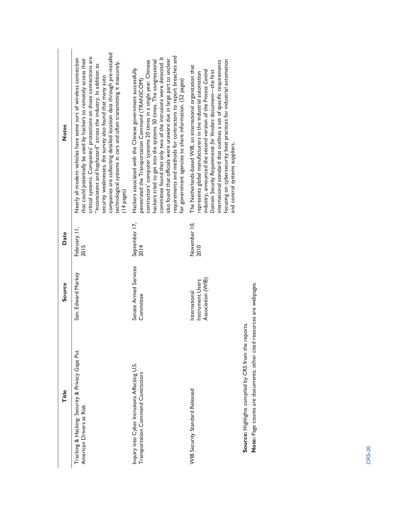| Title                                                                              | Source                                                 | Date                  | <b>Notes</b>                                                                                                                                                                                                                                                                                                                                                                                                                                                                                                                        |
|------------------------------------------------------------------------------------|--------------------------------------------------------|-----------------------|-------------------------------------------------------------------------------------------------------------------------------------------------------------------------------------------------------------------------------------------------------------------------------------------------------------------------------------------------------------------------------------------------------------------------------------------------------------------------------------------------------------------------------------|
| Tracking & Hacking: Security & Privacy Gaps Put<br>American Drivers at Risk        | Sen. Edward Markey                                     | February II,<br>2015  | companies are collecting detailed location data through pre-installed<br>critical systems. Companies' protections on those connections are<br>Nearly all modern vehicles have some sort of wireless connection<br>that could potentially be used by hackers to remotely access their<br>technological systems in cars and often transmitting it insecurely.<br>inconsistent and haphazard" across the industry. In addition to<br>security weaknesses, the survey also found that many auto<br>(14 pages)                           |
| Inquiry into Cyber Intrusions Affecting U.S.<br>Transportation Command Contractors | Senate Armed Services<br>Committee                     | September 17,<br>2014 | requirements and methods for contractors to report breaches and<br>committee found that only two of the intrusions were detected. It<br>also found that officials were unaware due in large part to unclear<br>hackers tried to get into the systems 50 times. The congressional<br>contractors' computer systems 20 times in a single year. Chinese<br>Hackers associated with the Chinese government successfully<br>penetrated the Transportation Command (TRANSCOM)<br>for government agencies to share information. (52 pages) |
| <b>WIB Security Standard Released</b>                                              | Association (WIB)<br>Instrument Users<br>International | November 10,<br>2010  | focusing on cybersecurity best practices for industrial automation<br>international standard that outlines a set of specific requirements<br>The Netherlands-based WIB, an international organization that<br>industry, announced the second version of the Process Control<br>Domain Security Requirements for Vendors document-the first<br>represents global manufacturers in the industrial automation<br>and control systems suppliers.                                                                                        |
| Source: Highlights compiled by CRS from the reports                                |                                                        |                       |                                                                                                                                                                                                                                                                                                                                                                                                                                                                                                                                     |

**Note:** Page counts are documents; other cited resources are webpages.

Note: Page counts are documents; other cited resources are webpages.